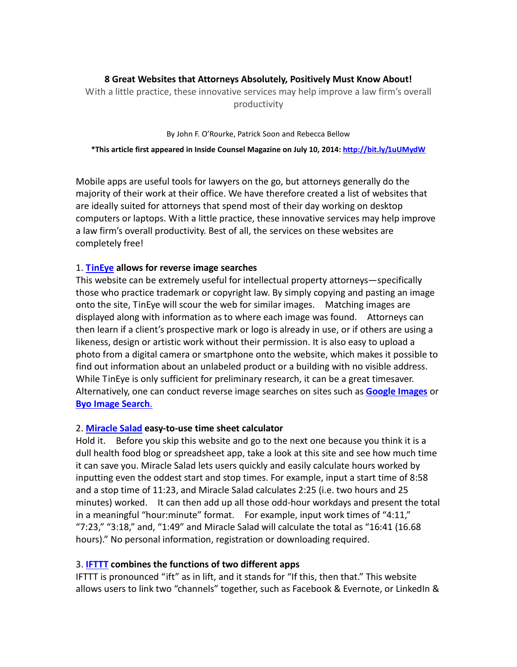# **8 Great Websites that Attorneys Absolutely, Positively Must Know About!**

With a little practice, these innovative services may help improve a law firm's overall productivity

#### By John F. O'Rourke, Patrick Soon and Rebecca Bellow

#### **\*This article first appeared in Inside Counsel Magazine on July 10, 2014: <http://bit.ly/1uUMydW>**

Mobile apps are useful tools for lawyers on the go, but attorneys generally do the majority of their work at their office. We have therefore created a list of websites that are ideally suited for attorneys that spend most of their day working on desktop computers or laptops. With a little practice, these innovative services may help improve a law firm's overall productivity. Best of all, the services on these websites are completely free!

## 1. **[TinEye](https://www.tineye.com/) allows for reverse image searches**

This website can be extremely useful for intellectual property attorneys—specifically those who practice trademark or copyright law. By simply copying and pasting an image onto the site, TinEye will scour the web for similar images. Matching images are displayed along with information as to where each image was found. Attorneys can then learn if a client's prospective mark or logo is already in use, or if others are using a likeness, design or artistic work without their permission. It is also easy to upload a photo from a digital camera or smartphone onto the website, which makes it possible to find out information about an unlabeled product or a building with no visible address. While TinEye is only sufficient for preliminary research, it can be a great timesaver. Alternatively, one can conduct reverse image searches on sites such as **[Google Images](http://images.google.com/)** or **[Byo Image Search](http://alternativeto.net/software/byo-image-search-lab/)**.

### 2. **[Miracle Salad](http://www.miraclesalad.com/webtools/timesheet.php) easy-to-use time sheet calculator**

Hold it. Before you skip this website and go to the next one because you think it is a dull health food blog or spreadsheet app, take a look at this site and see how much time it can save you. Miracle Salad lets users quickly and easily calculate hours worked by inputting even the oddest start and stop times. For example, input a start time of 8:58 and a stop time of 11:23, and Miracle Salad calculates 2:25 (i.e. two hours and 25 minutes) worked. It can then add up all those odd-hour workdays and present the total in a meaningful "hour:minute" format. For example, input work times of "4:11," "7:23," "3:18," and, "1:49" and Miracle Salad will calculate the total as "16:41 (16.68 hours)." No personal information, registration or downloading required.

### 3. **[IFTTT](https://ifttt.com/) combines the functions of two different apps**

IFTTT is pronounced "ift" as in lift, and it stands for "If this, then that." This website allows users to link two "channels" together, such as Facebook & Evernote, or LinkedIn &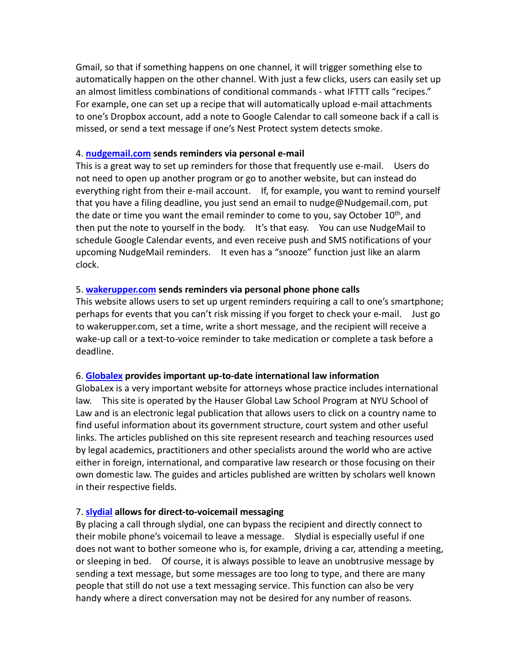Gmail, so that if something happens on one channel, it will trigger something else to automatically happen on the other channel. With just a few clicks, users can easily set up an almost limitless combinations of conditional commands - what IFTTT calls "recipes." For example, one can set up a recipe that will automatically upload e-mail attachments to one's Dropbox account, add a note to Google Calendar to call someone back if a call is missed, or send a text message if one's Nest Protect system detects smoke.

### 4. **[nudgemail.com](http://www.nudgemail.com/) sends reminders via personal e-mail**

This is a great way to set up reminders for those that frequently use e-mail. Users do not need to open up another program or go to another website, but can instead do everything right from their e-mail account. If, for example, you want to remind yourself that you have a filing deadline, you just send an email to nudge@Nudgemail.com, put the date or time you want the email reminder to come to you, say October  $10^{th}$ , and then put the note to yourself in the body. It's that easy. You can use NudgeMail to schedule Google Calendar events, and even receive push and SMS notifications of your upcoming NudgeMail reminders. It even has a "snooze" function just like an alarm clock.

## 5. **[wakerupper.com](http://wakerupper.com/) sends reminders via personal phone phone calls**

This website allows users to set up urgent reminders requiring a call to one's smartphone; perhaps for events that you can't risk missing if you forget to check your e-mail. Just go to wakerupper.com, set a time, write a short message, and the recipient will receive a wake-up call or a text-to-voice reminder to take medication or complete a task before a deadline.

## 6. **[Globalex](http://www.nyulawglobal.org/globalex) provides important up-to-date international law information**

GlobaLex is a very important website for attorneys whose practice includes international law. This site is operated by the Hauser Global Law School Program at NYU School of Law and is an electronic legal publication that allows users to click on a country name to find useful information about its government structure, court system and other useful links. The articles published on this site represent research and teaching resources used by legal academics, practitioners and other specialists around the world who are active either in foreign, international, and comparative law research or those focusing on their own domestic law. The guides and articles published are written by scholars well known in their respective fields.

## 7. **[slydial](http://www.slydial.com/) allows for direct-to-voicemail messaging**

By placing a call through slydial, one can bypass the recipient and directly connect to their mobile phone's voicemail to leave a message. Slydial is especially useful if one does not want to bother someone who is, for example, driving a car, attending a meeting, or sleeping in bed. Of course, it is always possible to leave an unobtrusive message by sending a text message, but some messages are too long to type, and there are many people that still do not use a text messaging service. This function can also be very handy where a direct conversation may not be desired for any number of reasons.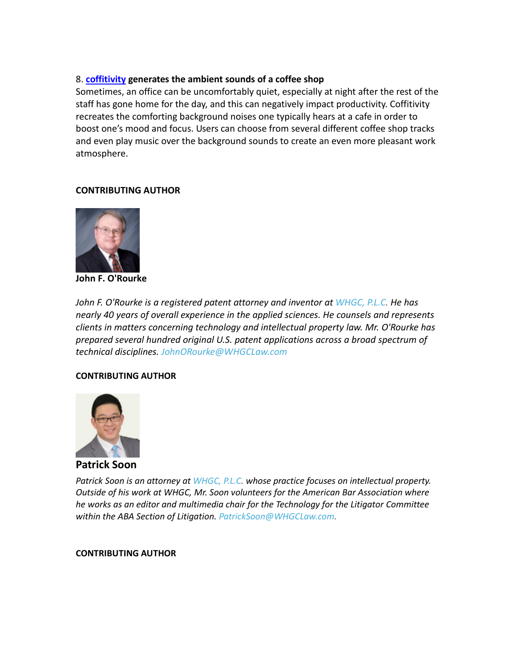# 8. **[coffitivity](http://coffitivity.com/) generates the ambient sounds of a coffee shop**

Sometimes, an office can be uncomfortably quiet, especially at night after the rest of the staff has gone home for the day, and this can negatively impact productivity. Coffitivity recreates the comforting background noises one typically hears at a cafe in order to boost one's mood and focus. Users can choose from several different coffee shop tracks and even play music over the background sounds to create an even more pleasant work atmosphere.

# **CONTRIBUTING AUTHOR**



**John F. O'Rourke**

*John F. O'Rourke is a registered patent attorney and inventor at [WHGC, P.L.C.](http://www.whglawfirm.com/) He has nearly 40 years of overall experience in the applied sciences. He counsels and represents clients in matters concerning technology and intellectual property law. Mr. O'Rourke has prepared several hundred original U.S. patent applications across a broad spectrum of technical disciplines. [JohnORourke@WHGCLaw.com](mailto:JohnORourke@WHGCLaw.com)*

## **CONTRIBUTING AUTHOR**



**Patrick Soon**

*Patrick Soon is an attorney a[t WHGC, P.L.C.](http://www.whglawfirm.com/) whose practice focuses on intellectual property. Outside of his work at WHGC, Mr. Soon volunteers for the American Bar Association where he works as an editor and multimedia chair for the Technology for the Litigator Committee within the ABA Section of Litigation. [PatrickSoon@WHGCLaw.com.](mailto:PatrickSoon@WHGCLaw.com)*

## **CONTRIBUTING AUTHOR**